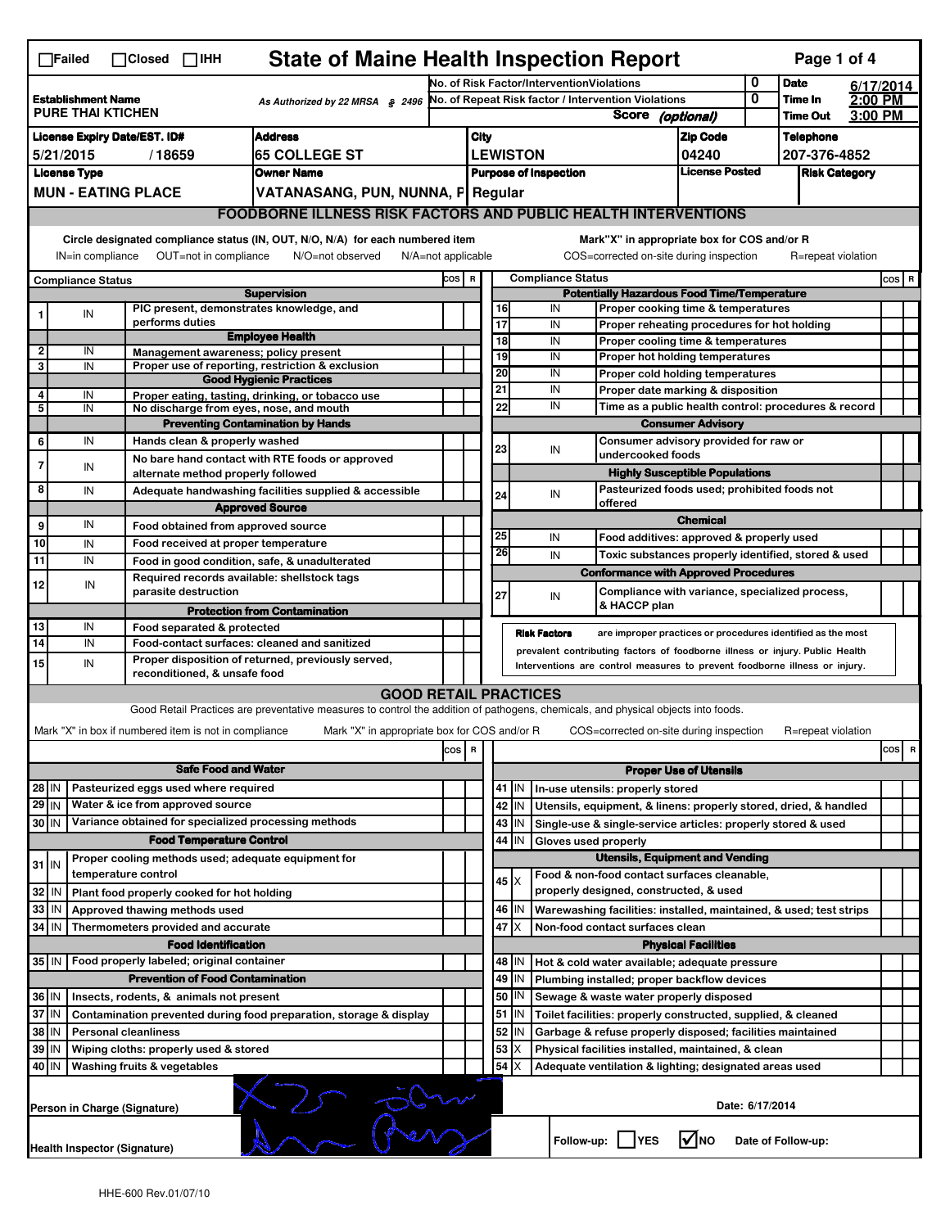| <b>State of Maine Health Inspection Report</b><br>Page 1 of 4<br>$\Box$ Failed<br>$\Box$ Closed $\Box$ IHH                                                                                                                                                                                |                                                                                                                                         |                                                                                                                                                                        |  |                               |                                                                                                                                   |                                              |                                                                     |                                                                              |                                                               |                                                                                  |                                             |                                                                       |                                |                 |                      |  |         |
|-------------------------------------------------------------------------------------------------------------------------------------------------------------------------------------------------------------------------------------------------------------------------------------------|-----------------------------------------------------------------------------------------------------------------------------------------|------------------------------------------------------------------------------------------------------------------------------------------------------------------------|--|-------------------------------|-----------------------------------------------------------------------------------------------------------------------------------|----------------------------------------------|---------------------------------------------------------------------|------------------------------------------------------------------------------|---------------------------------------------------------------|----------------------------------------------------------------------------------|---------------------------------------------|-----------------------------------------------------------------------|--------------------------------|-----------------|----------------------|--|---------|
| <b>Establishment Name</b><br>As Authorized by 22 MRSA § 2496<br><b>PURE THAI KTICHEN</b>                                                                                                                                                                                                  |                                                                                                                                         |                                                                                                                                                                        |  |                               |                                                                                                                                   | No. of Risk Factor/InterventionViolations    |                                                                     |                                                                              |                                                               |                                                                                  |                                             | 0                                                                     | <b>Date</b>                    |                 | 6/17/2014            |  |         |
|                                                                                                                                                                                                                                                                                           |                                                                                                                                         |                                                                                                                                                                        |  |                               |                                                                                                                                   |                                              | No. of Repeat Risk factor / Intervention Violations<br><b>Score</b> |                                                                              |                                                               |                                                                                  |                                             | 0                                                                     | Time In                        | 2:00 PM         |                      |  |         |
|                                                                                                                                                                                                                                                                                           |                                                                                                                                         |                                                                                                                                                                        |  |                               |                                                                                                                                   |                                              |                                                                     |                                                                              |                                                               |                                                                                  |                                             | (optional)                                                            |                                | <b>Time Out</b> | 3:00 PM              |  |         |
| <b>Address</b><br><b>License Expiry Date/EST. ID#</b>                                                                                                                                                                                                                                     |                                                                                                                                         |                                                                                                                                                                        |  |                               |                                                                                                                                   |                                              | <b>City</b><br><b>LEWISTON</b>                                      |                                                                              |                                                               |                                                                                  |                                             |                                                                       | <b>Zip Code</b>                |                 | <b>Telephone</b>     |  |         |
| <b>65 COLLEGE ST</b><br>5/21/2015<br>/18659                                                                                                                                                                                                                                               |                                                                                                                                         |                                                                                                                                                                        |  |                               |                                                                                                                                   |                                              |                                                                     |                                                                              |                                                               |                                                                                  |                                             |                                                                       | 04240<br><b>License Posted</b> |                 | 207-376-4852         |  |         |
| <b>License Type</b><br><b>Owner Name</b>                                                                                                                                                                                                                                                  |                                                                                                                                         |                                                                                                                                                                        |  |                               |                                                                                                                                   |                                              |                                                                     |                                                                              |                                                               |                                                                                  | <b>Purpose of Inspection</b>                |                                                                       |                                |                 | <b>Risk Category</b> |  |         |
|                                                                                                                                                                                                                                                                                           | <b>MUN - EATING PLACE</b><br>VATANASANG, PUN, NUNNA, F Regular<br><b>FOODBORNE ILLNESS RISK FACTORS AND PUBLIC HEALTH INTERVENTIONS</b> |                                                                                                                                                                        |  |                               |                                                                                                                                   |                                              |                                                                     |                                                                              |                                                               |                                                                                  |                                             |                                                                       |                                |                 |                      |  |         |
|                                                                                                                                                                                                                                                                                           |                                                                                                                                         |                                                                                                                                                                        |  |                               |                                                                                                                                   |                                              |                                                                     |                                                                              |                                                               |                                                                                  |                                             |                                                                       |                                |                 |                      |  |         |
| Circle designated compliance status (IN, OUT, N/O, N/A) for each numbered item<br>Mark"X" in appropriate box for COS and/or R<br>OUT=not in compliance<br>COS=corrected on-site during inspection<br>IN=in compliance<br>N/O=not observed<br>$N/A = not$ applicable<br>R=repeat violation |                                                                                                                                         |                                                                                                                                                                        |  |                               |                                                                                                                                   |                                              |                                                                     |                                                                              |                                                               |                                                                                  |                                             |                                                                       |                                |                 |                      |  |         |
|                                                                                                                                                                                                                                                                                           | COS R<br><b>Compliance Status</b>                                                                                                       |                                                                                                                                                                        |  |                               |                                                                                                                                   |                                              |                                                                     |                                                                              |                                                               |                                                                                  | <b>Compliance Status</b>                    |                                                                       |                                |                 |                      |  | $cos$ R |
| <b>Supervision</b>                                                                                                                                                                                                                                                                        |                                                                                                                                         |                                                                                                                                                                        |  |                               |                                                                                                                                   |                                              |                                                                     |                                                                              | <b>Potentially Hazardous Food Time/Temperature</b>            |                                                                                  |                                             |                                                                       |                                |                 |                      |  |         |
| 1                                                                                                                                                                                                                                                                                         | IN                                                                                                                                      |                                                                                                                                                                        |  |                               | PIC present, demonstrates knowledge, and                                                                                          |                                              |                                                                     |                                                                              | 16                                                            |                                                                                  | IN                                          | Proper cooking time & temperatures                                    |                                |                 |                      |  |         |
|                                                                                                                                                                                                                                                                                           |                                                                                                                                         | performs duties                                                                                                                                                        |  |                               | <b>Employee Health</b>                                                                                                            |                                              |                                                                     |                                                                              | $\overline{17}$                                               |                                                                                  | IN                                          | Proper reheating procedures for hot holding                           |                                |                 |                      |  |         |
| 2                                                                                                                                                                                                                                                                                         | IN                                                                                                                                      |                                                                                                                                                                        |  |                               | Management awareness; policy present                                                                                              |                                              |                                                                     |                                                                              | $\overline{18}$<br>19                                         |                                                                                  | IN<br>IN                                    | Proper cooling time & temperatures<br>Proper hot holding temperatures |                                |                 |                      |  |         |
| 3                                                                                                                                                                                                                                                                                         | IN                                                                                                                                      |                                                                                                                                                                        |  |                               | Proper use of reporting, restriction & exclusion                                                                                  |                                              |                                                                     |                                                                              | 20                                                            |                                                                                  | IN                                          | Proper cold holding temperatures                                      |                                |                 |                      |  |         |
|                                                                                                                                                                                                                                                                                           |                                                                                                                                         |                                                                                                                                                                        |  |                               | <b>Good Hygienic Practices</b>                                                                                                    |                                              |                                                                     |                                                                              | 21                                                            |                                                                                  | IN                                          | Proper date marking & disposition                                     |                                |                 |                      |  |         |
| 4<br>5                                                                                                                                                                                                                                                                                    | IN<br>IN                                                                                                                                |                                                                                                                                                                        |  |                               | Proper eating, tasting, drinking, or tobacco use<br>No discharge from eyes, nose, and mouth                                       |                                              |                                                                     |                                                                              | 22                                                            |                                                                                  | IN                                          |                                                                       |                                |                 |                      |  |         |
|                                                                                                                                                                                                                                                                                           |                                                                                                                                         |                                                                                                                                                                        |  |                               | <b>Preventing Contamination by Hands</b>                                                                                          |                                              |                                                                     |                                                                              |                                                               | Time as a public health control: procedures & record<br><b>Consumer Advisory</b> |                                             |                                                                       |                                |                 |                      |  |         |
| 6                                                                                                                                                                                                                                                                                         | IN                                                                                                                                      |                                                                                                                                                                        |  | Hands clean & properly washed |                                                                                                                                   |                                              |                                                                     |                                                                              |                                                               |                                                                                  |                                             | Consumer advisory provided for raw or                                 |                                |                 |                      |  |         |
| $\overline{7}$                                                                                                                                                                                                                                                                            |                                                                                                                                         |                                                                                                                                                                        |  |                               | No bare hand contact with RTE foods or approved                                                                                   |                                              |                                                                     |                                                                              | 23                                                            |                                                                                  | IN                                          | undercooked foods                                                     |                                |                 |                      |  |         |
|                                                                                                                                                                                                                                                                                           | IN                                                                                                                                      |                                                                                                                                                                        |  |                               | alternate method properly followed                                                                                                |                                              |                                                                     |                                                                              |                                                               |                                                                                  |                                             | <b>Highly Susceptible Populations</b>                                 |                                |                 |                      |  |         |
| 8                                                                                                                                                                                                                                                                                         | IN                                                                                                                                      |                                                                                                                                                                        |  |                               | Adequate handwashing facilities supplied & accessible                                                                             |                                              |                                                                     |                                                                              | 24                                                            |                                                                                  | IN                                          | Pasteurized foods used; prohibited foods not                          |                                |                 |                      |  |         |
|                                                                                                                                                                                                                                                                                           |                                                                                                                                         |                                                                                                                                                                        |  |                               | <b>Approved Source</b>                                                                                                            |                                              |                                                                     |                                                                              |                                                               |                                                                                  |                                             | offered                                                               | <b>Chemical</b>                |                 |                      |  |         |
| 9                                                                                                                                                                                                                                                                                         | IN                                                                                                                                      |                                                                                                                                                                        |  |                               | Food obtained from approved source                                                                                                |                                              |                                                                     |                                                                              | 25                                                            |                                                                                  | IN                                          |                                                                       |                                |                 |                      |  |         |
| 10                                                                                                                                                                                                                                                                                        | IN                                                                                                                                      |                                                                                                                                                                        |  |                               | Food received at proper temperature                                                                                               |                                              |                                                                     |                                                                              | 26                                                            |                                                                                  |                                             | Food additives: approved & properly used                              |                                |                 |                      |  |         |
| 11                                                                                                                                                                                                                                                                                        | IN                                                                                                                                      |                                                                                                                                                                        |  |                               | Food in good condition, safe, & unadulterated                                                                                     |                                              |                                                                     |                                                                              |                                                               |                                                                                  | IN                                          | Toxic substances properly identified, stored & used                   |                                |                 |                      |  |         |
| 12                                                                                                                                                                                                                                                                                        | IN                                                                                                                                      |                                                                                                                                                                        |  |                               | Required records available: shellstock tags                                                                                       |                                              |                                                                     |                                                                              |                                                               |                                                                                  |                                             | <b>Conformance with Approved Procedures</b>                           |                                |                 |                      |  |         |
|                                                                                                                                                                                                                                                                                           |                                                                                                                                         |                                                                                                                                                                        |  | parasite destruction          |                                                                                                                                   |                                              |                                                                     |                                                                              | 27                                                            |                                                                                  | IN                                          | Compliance with variance, specialized process,<br>& HACCP plan        |                                |                 |                      |  |         |
|                                                                                                                                                                                                                                                                                           |                                                                                                                                         |                                                                                                                                                                        |  |                               | <b>Protection from Contamination</b>                                                                                              |                                              |                                                                     |                                                                              |                                                               |                                                                                  |                                             |                                                                       |                                |                 |                      |  |         |
| 13<br>$\overline{14}$                                                                                                                                                                                                                                                                     | IN<br>IN                                                                                                                                |                                                                                                                                                                        |  | Food separated & protected    | Food-contact surfaces: cleaned and sanitized                                                                                      |                                              |                                                                     |                                                                              |                                                               |                                                                                  | <b>Risk Factors</b>                         | are improper practices or procedures identified as the most           |                                |                 |                      |  |         |
|                                                                                                                                                                                                                                                                                           |                                                                                                                                         |                                                                                                                                                                        |  |                               |                                                                                                                                   |                                              |                                                                     | prevalent contributing factors of foodborne illness or injury. Public Health |                                                               |                                                                                  |                                             |                                                                       |                                |                 |                      |  |         |
| 15                                                                                                                                                                                                                                                                                        |                                                                                                                                         | Proper disposition of returned, previously served,<br>IN<br>Interventions are control measures to prevent foodborne illness or injury.<br>reconditioned, & unsafe food |  |                               |                                                                                                                                   |                                              |                                                                     |                                                                              |                                                               |                                                                                  |                                             |                                                                       |                                |                 |                      |  |         |
|                                                                                                                                                                                                                                                                                           |                                                                                                                                         |                                                                                                                                                                        |  |                               |                                                                                                                                   | <b>GOOD RETAIL PRACTICES</b>                 |                                                                     |                                                                              |                                                               |                                                                                  |                                             |                                                                       |                                |                 |                      |  |         |
|                                                                                                                                                                                                                                                                                           |                                                                                                                                         |                                                                                                                                                                        |  |                               | Good Retail Practices are preventative measures to control the addition of pathogens, chemicals, and physical objects into foods. |                                              |                                                                     |                                                                              |                                                               |                                                                                  |                                             |                                                                       |                                |                 |                      |  |         |
|                                                                                                                                                                                                                                                                                           |                                                                                                                                         | Mark "X" in box if numbered item is not in compliance                                                                                                                  |  |                               |                                                                                                                                   | Mark "X" in appropriate box for COS and/or R |                                                                     |                                                                              |                                                               |                                                                                  |                                             | COS=corrected on-site during inspection                               |                                |                 | R=repeat violation   |  |         |
|                                                                                                                                                                                                                                                                                           |                                                                                                                                         |                                                                                                                                                                        |  |                               |                                                                                                                                   |                                              | cos                                                                 | R                                                                            |                                                               |                                                                                  |                                             |                                                                       |                                |                 |                      |  | cos R   |
|                                                                                                                                                                                                                                                                                           | <b>Safe Food and Water</b>                                                                                                              |                                                                                                                                                                        |  |                               |                                                                                                                                   |                                              |                                                                     |                                                                              | <b>Proper Use of Utensils</b>                                 |                                                                                  |                                             |                                                                       |                                |                 |                      |  |         |
| $28$ IN                                                                                                                                                                                                                                                                                   |                                                                                                                                         | Pasteurized eggs used where required                                                                                                                                   |  |                               |                                                                                                                                   |                                              |                                                                     |                                                                              |                                                               | $41$ M                                                                           |                                             | In-use utensils: properly stored                                      |                                |                 |                      |  |         |
| $29$ IN                                                                                                                                                                                                                                                                                   |                                                                                                                                         | Water & ice from approved source                                                                                                                                       |  |                               |                                                                                                                                   |                                              |                                                                     |                                                                              | 42                                                            | IN                                                                               |                                             | Utensils, equipment, & linens: properly stored, dried, & handled      |                                |                 |                      |  |         |
| 30 IN                                                                                                                                                                                                                                                                                     |                                                                                                                                         |                                                                                                                                                                        |  |                               | Variance obtained for specialized processing methods                                                                              |                                              |                                                                     |                                                                              | 43                                                            | IN.                                                                              |                                             | Single-use & single-service articles: properly stored & used          |                                |                 |                      |  |         |
| <b>Food Temperature Control</b>                                                                                                                                                                                                                                                           |                                                                                                                                         |                                                                                                                                                                        |  |                               |                                                                                                                                   |                                              |                                                                     | 44<br>IN<br>Gloves used properly                                             |                                                               |                                                                                  |                                             |                                                                       |                                |                 |                      |  |         |
|                                                                                                                                                                                                                                                                                           |                                                                                                                                         |                                                                                                                                                                        |  |                               | Proper cooling methods used; adequate equipment for                                                                               |                                              |                                                                     |                                                                              | <b>Utensils, Equipment and Vending</b>                        |                                                                                  |                                             |                                                                       |                                |                 |                      |  |         |
| $31$ IN                                                                                                                                                                                                                                                                                   |                                                                                                                                         | temperature control                                                                                                                                                    |  |                               |                                                                                                                                   |                                              |                                                                     |                                                                              | $45 \times$                                                   |                                                                                  |                                             | Food & non-food contact surfaces cleanable,                           |                                |                 |                      |  |         |
| 32<br>Plant food properly cooked for hot holding<br>IN                                                                                                                                                                                                                                    |                                                                                                                                         |                                                                                                                                                                        |  |                               |                                                                                                                                   |                                              |                                                                     |                                                                              |                                                               |                                                                                  | properly designed, constructed, & used      |                                                                       |                                |                 |                      |  |         |
| 33                                                                                                                                                                                                                                                                                        | IN                                                                                                                                      | Approved thawing methods used                                                                                                                                          |  |                               |                                                                                                                                   |                                              |                                                                     |                                                                              | 46                                                            | ΙM                                                                               |                                             | Warewashing facilities: installed, maintained, & used; test strips    |                                |                 |                      |  |         |
| 34                                                                                                                                                                                                                                                                                        | l IN                                                                                                                                    | Thermometers provided and accurate                                                                                                                                     |  |                               |                                                                                                                                   |                                              |                                                                     |                                                                              | 47<br>IΧ<br>Non-food contact surfaces clean                   |                                                                                  |                                             |                                                                       |                                |                 |                      |  |         |
|                                                                                                                                                                                                                                                                                           |                                                                                                                                         |                                                                                                                                                                        |  | <b>Food Identification</b>    |                                                                                                                                   |                                              |                                                                     |                                                                              | <b>Physical Facilities</b>                                    |                                                                                  |                                             |                                                                       |                                |                 |                      |  |         |
| 35 IN                                                                                                                                                                                                                                                                                     |                                                                                                                                         | Food properly labeled; original container                                                                                                                              |  |                               |                                                                                                                                   |                                              |                                                                     |                                                                              |                                                               | 48   IN                                                                          |                                             | Hot & cold water available; adequate pressure                         |                                |                 |                      |  |         |
| <b>Prevention of Food Contamination</b>                                                                                                                                                                                                                                                   |                                                                                                                                         |                                                                                                                                                                        |  |                               |                                                                                                                                   |                                              |                                                                     | 49                                                                           | IN                                                            |                                                                                  | Plumbing installed; proper backflow devices |                                                                       |                                |                 |                      |  |         |
| 36 IN<br>Insects, rodents, & animals not present                                                                                                                                                                                                                                          |                                                                                                                                         |                                                                                                                                                                        |  |                               |                                                                                                                                   |                                              |                                                                     | 50<br>ΙN<br>Sewage & waste water properly disposed                           |                                                               |                                                                                  |                                             |                                                                       |                                |                 |                      |  |         |
| 37 IN<br>Contamination prevented during food preparation, storage & display                                                                                                                                                                                                               |                                                                                                                                         |                                                                                                                                                                        |  |                               |                                                                                                                                   |                                              |                                                                     | 51<br>ΙM<br>Toilet facilities: properly constructed, supplied, & cleaned     |                                                               |                                                                                  |                                             |                                                                       |                                |                 |                      |  |         |
| 38<br>  IN<br><b>Personal cleanliness</b>                                                                                                                                                                                                                                                 |                                                                                                                                         |                                                                                                                                                                        |  |                               |                                                                                                                                   |                                              |                                                                     | 52<br>IN<br>Garbage & refuse properly disposed; facilities maintained        |                                                               |                                                                                  |                                             |                                                                       |                                |                 |                      |  |         |
| 39<br>  IN<br>Wiping cloths: properly used & stored                                                                                                                                                                                                                                       |                                                                                                                                         |                                                                                                                                                                        |  |                               |                                                                                                                                   |                                              |                                                                     |                                                                              | 53<br>х<br>Physical facilities installed, maintained, & clean |                                                                                  |                                             |                                                                       |                                |                 |                      |  |         |
| 54<br>40 IN<br>Washing fruits & vegetables<br>Adequate ventilation & lighting; designated areas used                                                                                                                                                                                      |                                                                                                                                         |                                                                                                                                                                        |  |                               |                                                                                                                                   |                                              |                                                                     |                                                                              |                                                               |                                                                                  |                                             |                                                                       |                                |                 |                      |  |         |
|                                                                                                                                                                                                                                                                                           | Date: 6/17/2014<br>Person in Charge (Signature)                                                                                         |                                                                                                                                                                        |  |                               |                                                                                                                                   |                                              |                                                                     |                                                                              |                                                               |                                                                                  |                                             |                                                                       |                                |                 |                      |  |         |
|                                                                                                                                                                                                                                                                                           | l√Ino<br>Follow-up:  <br><b>IYES</b><br>Date of Follow-up:<br>Health Inspector (Signature)                                              |                                                                                                                                                                        |  |                               |                                                                                                                                   |                                              |                                                                     |                                                                              |                                                               |                                                                                  |                                             |                                                                       |                                |                 |                      |  |         |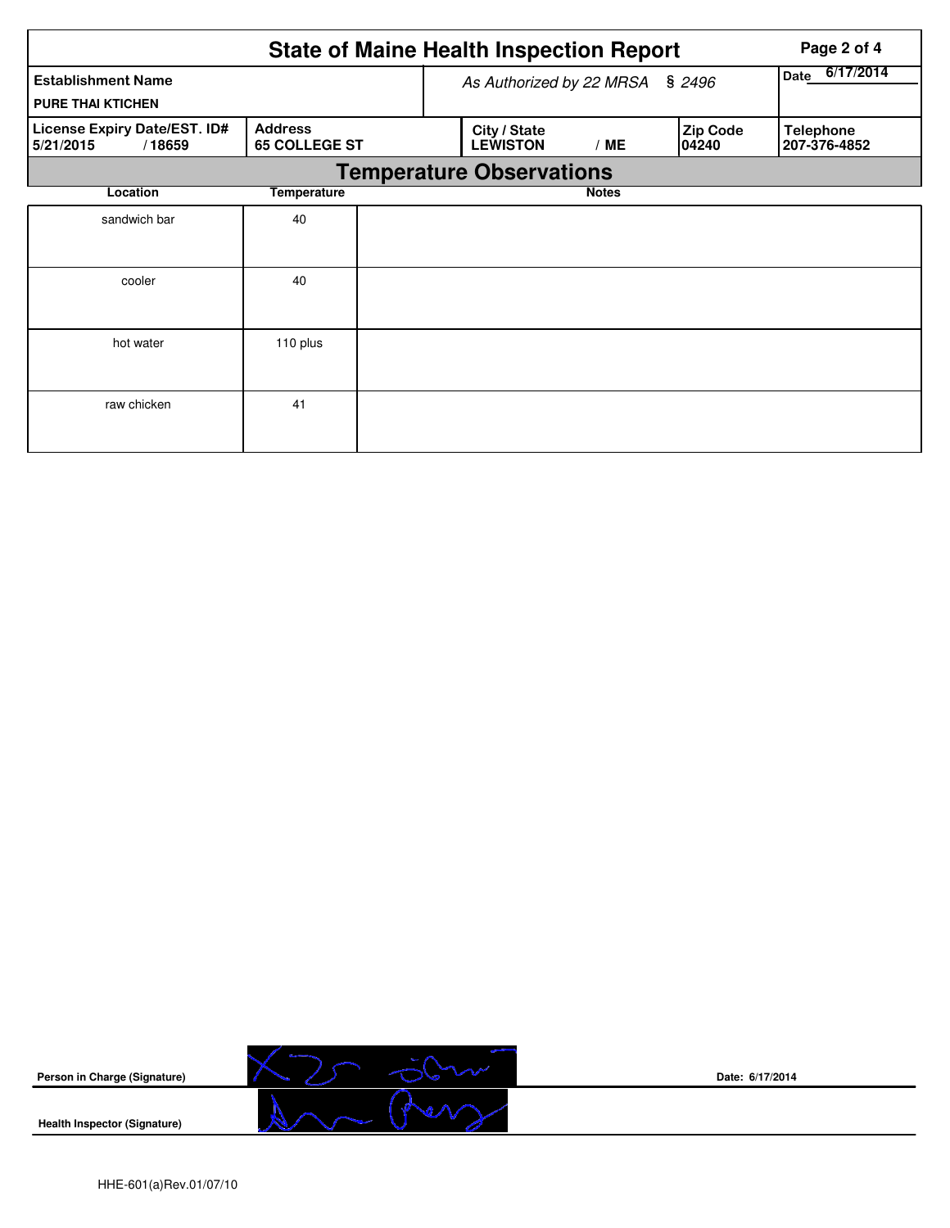|                                                       | Page 2 of 4                            |  |                                        |                   |                          |                                  |  |  |  |  |
|-------------------------------------------------------|----------------------------------------|--|----------------------------------------|-------------------|--------------------------|----------------------------------|--|--|--|--|
| <b>Establishment Name</b><br><b>PURE THAI KTICHEN</b> |                                        |  | As Authorized by 22 MRSA § 2496        | 6/17/2014<br>Date |                          |                                  |  |  |  |  |
| License Expiry Date/EST. ID#<br>5/21/2015<br>/18659   | <b>Address</b><br><b>65 COLLEGE ST</b> |  | City / State<br><b>LEWISTON</b><br>/ME |                   | <b>Zip Code</b><br>04240 | <b>Telephone</b><br>207-376-4852 |  |  |  |  |
| <b>Temperature Observations</b>                       |                                        |  |                                        |                   |                          |                                  |  |  |  |  |
| Location                                              | <b>Temperature</b>                     |  |                                        |                   |                          |                                  |  |  |  |  |
| sandwich bar                                          | 40                                     |  |                                        |                   |                          |                                  |  |  |  |  |
| cooler                                                | 40                                     |  |                                        |                   |                          |                                  |  |  |  |  |
| hot water                                             | 110 plus                               |  |                                        |                   |                          |                                  |  |  |  |  |
| raw chicken                                           | 41                                     |  |                                        |                   |                          |                                  |  |  |  |  |



**Date: 6/17/2014**

HHE-601(a)Rev.01/07/10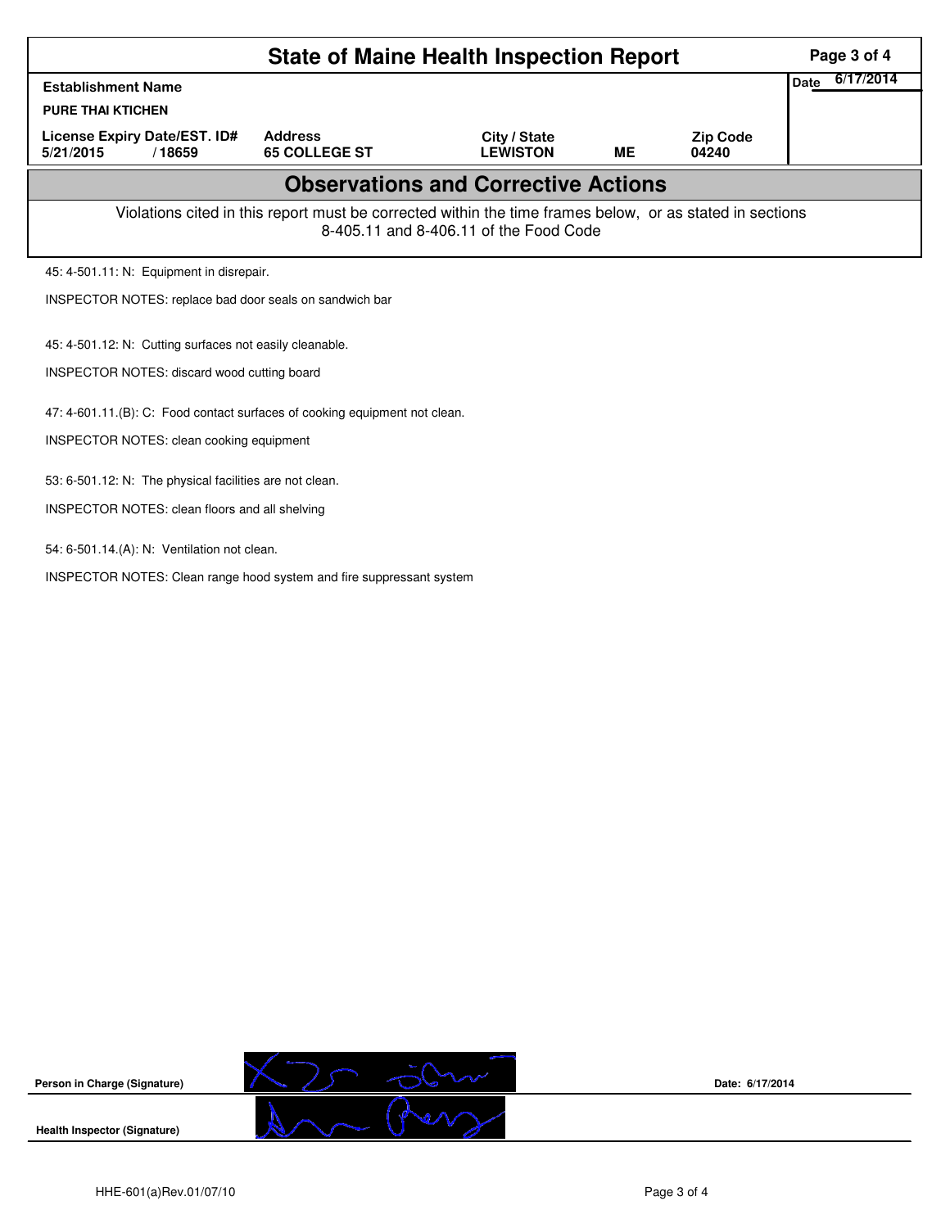|                                                                                                                                                    | Page 3 of 4                                                                |                                 |           |                          |  |  |  |  |  |
|----------------------------------------------------------------------------------------------------------------------------------------------------|----------------------------------------------------------------------------|---------------------------------|-----------|--------------------------|--|--|--|--|--|
| <b>Establishment Name</b>                                                                                                                          | 6/17/2014<br>Date                                                          |                                 |           |                          |  |  |  |  |  |
| <b>PURE THAI KTICHEN</b>                                                                                                                           |                                                                            |                                 |           |                          |  |  |  |  |  |
| License Expiry Date/EST. ID#<br>5/21/2015<br>/18659                                                                                                | <b>Address</b><br><b>65 COLLEGE ST</b>                                     | City / State<br><b>LEWISTON</b> | <b>ME</b> | <b>Zip Code</b><br>04240 |  |  |  |  |  |
| <b>Observations and Corrective Actions</b>                                                                                                         |                                                                            |                                 |           |                          |  |  |  |  |  |
| Violations cited in this report must be corrected within the time frames below, or as stated in sections<br>8-405.11 and 8-406.11 of the Food Code |                                                                            |                                 |           |                          |  |  |  |  |  |
| 45: 4-501.11: N: Equipment in disrepair.                                                                                                           |                                                                            |                                 |           |                          |  |  |  |  |  |
| INSPECTOR NOTES: replace bad door seals on sandwich bar                                                                                            |                                                                            |                                 |           |                          |  |  |  |  |  |
| 45: 4-501.12: N: Cutting surfaces not easily cleanable.                                                                                            |                                                                            |                                 |           |                          |  |  |  |  |  |
| <b>INSPECTOR NOTES: discard wood cutting board</b>                                                                                                 |                                                                            |                                 |           |                          |  |  |  |  |  |
|                                                                                                                                                    | 47: 4-601.11.(B): C: Food contact surfaces of cooking equipment not clean. |                                 |           |                          |  |  |  |  |  |
| INSPECTOR NOTES: clean cooking equipment                                                                                                           |                                                                            |                                 |           |                          |  |  |  |  |  |
| 53: 6-501.12: N: The physical facilities are not clean.                                                                                            |                                                                            |                                 |           |                          |  |  |  |  |  |
|                                                                                                                                                    | <b>INSPECTOR NOTES: clean floors and all shelving</b>                      |                                 |           |                          |  |  |  |  |  |
| 54: 6-501.14.(A): N: Ventilation not clean.                                                                                                        |                                                                            |                                 |           |                          |  |  |  |  |  |
| INSPECTOR NOTES: Clean range hood system and fire suppressant system                                                                               |                                                                            |                                 |           |                          |  |  |  |  |  |



**Date: 6/17/2014**